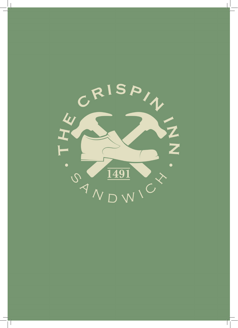

 $\mathbb{R}$ 

 $\top$